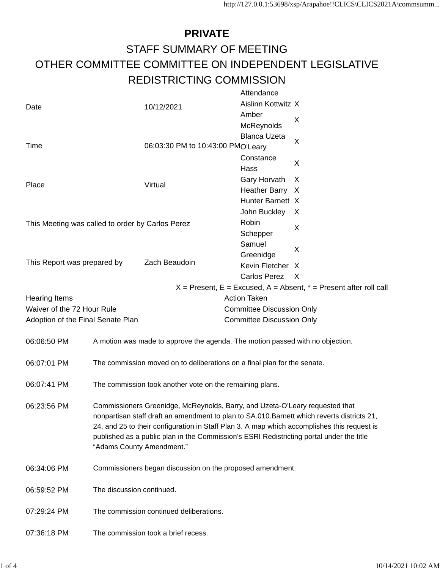## **PRIVATE** STAFF SUMMARY OF MEETING OTHER COMMITTEE COMMITTEE ON INDEPENDENT LEGISLATIVE REDISTRICTING COMMISSION

|                                                        |                                                                                             |                                                                                          | Attendance                       |                                                                                             |  |  |  |  |
|--------------------------------------------------------|---------------------------------------------------------------------------------------------|------------------------------------------------------------------------------------------|----------------------------------|---------------------------------------------------------------------------------------------|--|--|--|--|
| Date                                                   |                                                                                             | 10/12/2021                                                                               | Aislinn Kottwitz X               |                                                                                             |  |  |  |  |
|                                                        |                                                                                             |                                                                                          | Amber                            |                                                                                             |  |  |  |  |
|                                                        |                                                                                             |                                                                                          | McReynolds                       | X                                                                                           |  |  |  |  |
|                                                        |                                                                                             |                                                                                          | <b>Blanca Uzeta</b>              |                                                                                             |  |  |  |  |
| Time                                                   |                                                                                             | 06:03:30 PM to 10:43:00 PMO'Leary                                                        |                                  | X                                                                                           |  |  |  |  |
|                                                        |                                                                                             |                                                                                          | Constance                        |                                                                                             |  |  |  |  |
|                                                        |                                                                                             |                                                                                          | Hass                             | X                                                                                           |  |  |  |  |
|                                                        |                                                                                             |                                                                                          | Gary Horvath                     | X                                                                                           |  |  |  |  |
| Place                                                  |                                                                                             | Virtual                                                                                  | Heather Barry X                  |                                                                                             |  |  |  |  |
|                                                        |                                                                                             |                                                                                          | Hunter Barnett X                 |                                                                                             |  |  |  |  |
|                                                        |                                                                                             |                                                                                          | John Buckley                     | X                                                                                           |  |  |  |  |
| This Meeting was called to order by Carlos Perez       |                                                                                             |                                                                                          | Robin                            |                                                                                             |  |  |  |  |
|                                                        |                                                                                             |                                                                                          | Schepper                         | X                                                                                           |  |  |  |  |
|                                                        |                                                                                             |                                                                                          | Samuel                           |                                                                                             |  |  |  |  |
|                                                        |                                                                                             |                                                                                          | Greenidge                        | X                                                                                           |  |  |  |  |
| This Report was prepared by                            |                                                                                             | Zach Beaudoin                                                                            | Kevin Fletcher X                 |                                                                                             |  |  |  |  |
|                                                        |                                                                                             |                                                                                          | Carlos Perez                     | X                                                                                           |  |  |  |  |
|                                                        |                                                                                             |                                                                                          |                                  | $X =$ Present, E = Excused, A = Absent, $* =$ Present after roll call                       |  |  |  |  |
| <b>Hearing Items</b>                                   |                                                                                             |                                                                                          | <b>Action Taken</b>              |                                                                                             |  |  |  |  |
| Waiver of the 72 Hour Rule                             |                                                                                             |                                                                                          | <b>Committee Discussion Only</b> |                                                                                             |  |  |  |  |
| Adoption of the Final Senate Plan                      |                                                                                             |                                                                                          | <b>Committee Discussion Only</b> |                                                                                             |  |  |  |  |
|                                                        |                                                                                             |                                                                                          |                                  |                                                                                             |  |  |  |  |
| 06:06:50 PM                                            |                                                                                             | A motion was made to approve the agenda. The motion passed with no objection.            |                                  |                                                                                             |  |  |  |  |
|                                                        |                                                                                             |                                                                                          |                                  |                                                                                             |  |  |  |  |
| 06:07:01 PM                                            |                                                                                             | The commission moved on to deliberations on a final plan for the senate.                 |                                  |                                                                                             |  |  |  |  |
|                                                        |                                                                                             |                                                                                          |                                  |                                                                                             |  |  |  |  |
| 06:07:41 PM                                            |                                                                                             | The commission took another vote on the remaining plans.                                 |                                  |                                                                                             |  |  |  |  |
|                                                        |                                                                                             |                                                                                          |                                  |                                                                                             |  |  |  |  |
| 06:23:56 PM                                            |                                                                                             | Commissioners Greenidge, McReynolds, Barry, and Uzeta-O'Leary requested that             |                                  |                                                                                             |  |  |  |  |
|                                                        | nonpartisan staff draft an amendment to plan to SA.010. Barnett which reverts districts 21, |                                                                                          |                                  |                                                                                             |  |  |  |  |
|                                                        |                                                                                             |                                                                                          |                                  | 24, and 25 to their configuration in Staff Plan 3. A map which accomplishes this request is |  |  |  |  |
|                                                        |                                                                                             | published as a public plan in the Commission's ESRI Redistricting portal under the title |                                  |                                                                                             |  |  |  |  |
|                                                        |                                                                                             | "Adams County Amendment."                                                                |                                  |                                                                                             |  |  |  |  |
|                                                        |                                                                                             |                                                                                          |                                  |                                                                                             |  |  |  |  |
| 06:34:06 PM                                            | Commissioners began discussion on the proposed amendment.                                   |                                                                                          |                                  |                                                                                             |  |  |  |  |
|                                                        |                                                                                             |                                                                                          |                                  |                                                                                             |  |  |  |  |
|                                                        | The discussion continued.<br>06:59:52 PM                                                    |                                                                                          |                                  |                                                                                             |  |  |  |  |
|                                                        |                                                                                             |                                                                                          |                                  |                                                                                             |  |  |  |  |
| The commission continued deliberations.<br>07:29:24 PM |                                                                                             |                                                                                          |                                  |                                                                                             |  |  |  |  |
|                                                        |                                                                                             |                                                                                          |                                  |                                                                                             |  |  |  |  |
| 07:36:18 PM                                            | The commission took a brief recess.                                                         |                                                                                          |                                  |                                                                                             |  |  |  |  |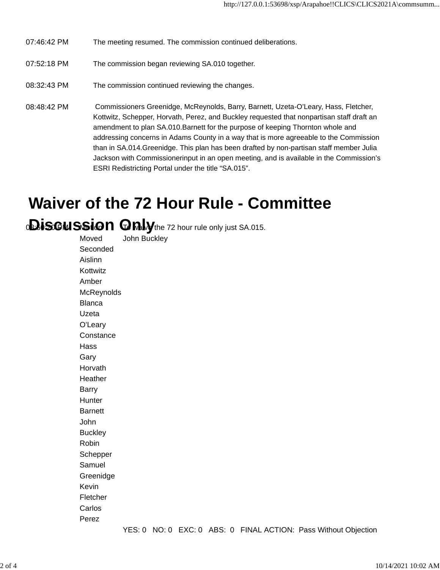- 07:46:42 PM The meeting resumed. The commission continued deliberations.
- 07:52:18 PM The commission began reviewing SA.010 together.
- 08:32:43 PM The commission continued reviewing the changes.
- 08:48:42 PM Commissioners Greenidge, McReynolds, Barry, Barnett, Uzeta-O'Leary, Hass, Fletcher, Kottwitz, Schepper, Horvath, Perez, and Buckley requested that nonpartisan staff draft an amendment to plan SA.010.Barnett for the purpose of keeping Thornton whole and addressing concerns in Adams County in a way that is more agreeable to the Commission than in SA.014.Greenidge. This plan has been drafted by non-partisan staff member Julia Jackson with Commissionerinput in an open meeting, and is available in the Commission's ESRI Redistricting Portal under the title "SA.015".

## **Waiver of the 72 Hour Rule - Committee**

**Discussion Only**the 72 hour rule only just SA.015.

| Moved          | John Buckley |  |  |                                                                                                                                                                                                                                                                                                                     |                      |  |
|----------------|--------------|--|--|---------------------------------------------------------------------------------------------------------------------------------------------------------------------------------------------------------------------------------------------------------------------------------------------------------------------|----------------------|--|
| Seconded       |              |  |  |                                                                                                                                                                                                                                                                                                                     |                      |  |
| Aislinn        |              |  |  |                                                                                                                                                                                                                                                                                                                     |                      |  |
| Kottwitz       |              |  |  |                                                                                                                                                                                                                                                                                                                     |                      |  |
| Amber          |              |  |  |                                                                                                                                                                                                                                                                                                                     |                      |  |
| McReynolds     |              |  |  |                                                                                                                                                                                                                                                                                                                     |                      |  |
| <b>Blanca</b>  |              |  |  |                                                                                                                                                                                                                                                                                                                     |                      |  |
| Uzeta          |              |  |  |                                                                                                                                                                                                                                                                                                                     |                      |  |
| O'Leary        |              |  |  |                                                                                                                                                                                                                                                                                                                     |                      |  |
| Constance      |              |  |  |                                                                                                                                                                                                                                                                                                                     |                      |  |
| Hass           |              |  |  |                                                                                                                                                                                                                                                                                                                     |                      |  |
| Gary           |              |  |  |                                                                                                                                                                                                                                                                                                                     |                      |  |
| Horvath        |              |  |  |                                                                                                                                                                                                                                                                                                                     |                      |  |
| Heather        |              |  |  |                                                                                                                                                                                                                                                                                                                     |                      |  |
| Barry          |              |  |  |                                                                                                                                                                                                                                                                                                                     |                      |  |
| Hunter         |              |  |  |                                                                                                                                                                                                                                                                                                                     |                      |  |
| <b>Barnett</b> |              |  |  |                                                                                                                                                                                                                                                                                                                     |                      |  |
| John           |              |  |  |                                                                                                                                                                                                                                                                                                                     |                      |  |
| <b>Buckley</b> |              |  |  |                                                                                                                                                                                                                                                                                                                     |                      |  |
| Robin          |              |  |  |                                                                                                                                                                                                                                                                                                                     |                      |  |
| Schepper       |              |  |  |                                                                                                                                                                                                                                                                                                                     |                      |  |
| Samuel         |              |  |  |                                                                                                                                                                                                                                                                                                                     |                      |  |
| Greenidge      |              |  |  |                                                                                                                                                                                                                                                                                                                     |                      |  |
| Kevin          |              |  |  |                                                                                                                                                                                                                                                                                                                     |                      |  |
| Fletcher       |              |  |  |                                                                                                                                                                                                                                                                                                                     |                      |  |
| Carlos         |              |  |  |                                                                                                                                                                                                                                                                                                                     |                      |  |
| Perez          |              |  |  |                                                                                                                                                                                                                                                                                                                     |                      |  |
|                |              |  |  | $\frac{1}{2}$ $\frac{1}{2}$ $\frac{1}{2}$ $\frac{1}{2}$ $\frac{1}{2}$ $\frac{1}{2}$ $\frac{1}{2}$ $\frac{1}{2}$ $\frac{1}{2}$ $\frac{1}{2}$ $\frac{1}{2}$ $\frac{1}{2}$ $\frac{1}{2}$ $\frac{1}{2}$ $\frac{1}{2}$ $\frac{1}{2}$ $\frac{1}{2}$ $\frac{1}{2}$ $\frac{1}{2}$ $\frac{1}{2}$ $\frac{1}{2}$ $\frac{1}{2}$ | <b><i>AA PAL</i></b> |  |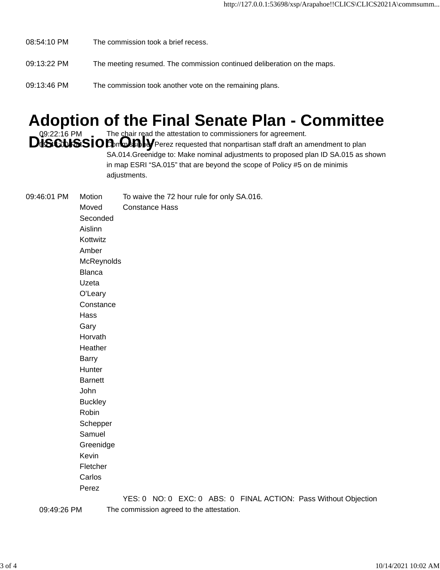- 08:54:10 PM The commission took a brief recess.
- 09:13:22 PM The meeting resumed. The commission continued deliberation on the maps.
- 09:13:46 PM The commission took another vote on the remaining plans.

## **Adoption of the Final Senate Plan - Committee**

09:22:16 PM The chair read the attestation to commissioners for agreement.<br>**DISCUSSIOD**on**Demo** Perez requested that nonpartisan staff draft an amendment to plan SA.014.Greenidge to: Make nominal adjustments to proposed plan ID SA.015 as shown in map ESRI "SA.015" that are beyond the scope of Policy #5 on de minimis adjustments.

09:46:01 PM Motion To waive the 72 hour rule for only SA.016. Moved Constance Hass Seconded Aislinn Kottwitz Amber McReynolds Blanca Uzeta O'Leary **Constance** Hass Gary Horvath **Heather** Barry **Hunter Barnett** John **Buckley** Robin Schepper Samuel Greenidge Kevin Fletcher Carlos Perez YES: 0 NO: 0 EXC: 0 ABS: 0 FINAL ACTION: Pass Without Objection

09:49:26 PM The commission agreed to the attestation.